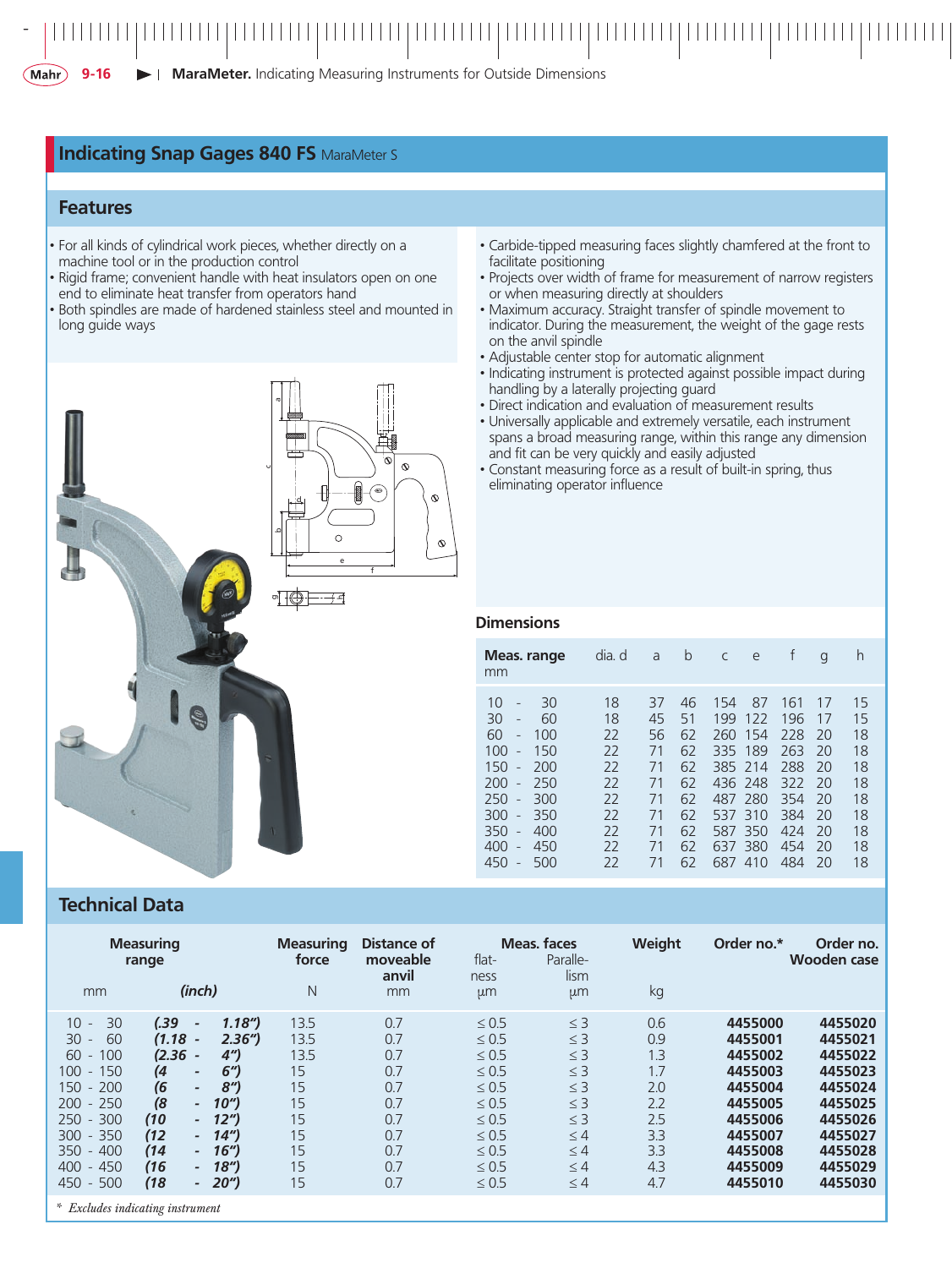#### *-*

**MaraMeter.** Indicating Measuring Instruments for Outside Dimensions $(Mahr)$ **9-16**

### **Indicating Snap Gages 840 FS MaraMeter S**

### **Features**

- For all kinds of cylindrical work pieces, whether directly on a machine tool or in the production control
- Rigid frame; convenient handle with heat insulators open on one end to eliminate heat transfer from operators hand
- Both spindles are made of hardened stainless steel and mounted in long guide ways

g

ع

d

c

a

e f

 $\overline{C}$ 

 $\hat{\mathcal{N}}$ 

 $\mathcal{L}$ 

ᅬ



- Projects over width of frame for measurement of narrow registers or when measuring directly at shoulders
- Maximum accuracy. Straight transfer of spindle movement to indicator. During the measurement, the weight of the gage rests on the anvil spindle
- • Adjustable center stop for automatic alignment
- Indicating instrument is protected against possible impact during handling by a laterally projecting guard
- • Direct indication and evaluation of measurement results • Universally applicable and extremely versatile, each instrument
- spans a broad measuring range, within this range any dimension and fit can be very quickly and easily adjusted
- • Constant measuring force as a result of built-in spring, thus eliminating operator influence

#### **Dimensions**

| mm                                                                     |                                                                                                                                                                                  | Meas. range                                                             | dia. d                                                         | a                                                              | b                                                              | C                                                                           | e                                                              |                                                                           | g                                                              | h                                                              |
|------------------------------------------------------------------------|----------------------------------------------------------------------------------------------------------------------------------------------------------------------------------|-------------------------------------------------------------------------|----------------------------------------------------------------|----------------------------------------------------------------|----------------------------------------------------------------|-----------------------------------------------------------------------------|----------------------------------------------------------------|---------------------------------------------------------------------------|----------------------------------------------------------------|----------------------------------------------------------------|
| 10<br>30<br>60<br>100<br>150<br>200<br>250<br>300<br>350<br>400<br>450 | $\overline{a}$<br>$\overline{a}$<br>$\overline{a}$<br>$\overline{a}$<br>$\overline{a}$<br>$\overline{a}$<br>$\overline{a}$<br>$\overline{a}$<br>$\overline{a}$<br>$\overline{a}$ | 30<br>60<br>100<br>150<br>200<br>250<br>300<br>350<br>400<br>450<br>500 | 18<br>18<br>22<br>22<br>22<br>22<br>22<br>22<br>22<br>22<br>22 | 37<br>45<br>56<br>71<br>71<br>71<br>71<br>71<br>71<br>71<br>71 | 46<br>51<br>62<br>62<br>62<br>62<br>62<br>62<br>62<br>62<br>62 | 154<br>199<br>260<br>335<br>436 248<br>487 280<br>537<br>587.<br>637<br>687 | 87<br>122<br>154<br>189<br>385 214<br>310<br>350<br>380<br>410 | 161<br>196<br>228<br>263<br>288<br>322<br>354<br>384<br>424<br>454<br>484 | 17<br>17<br>20<br>20<br>20<br>20<br>20<br>20<br>20<br>20<br>20 | 15<br>15<br>18<br>18<br>18<br>18<br>18<br>18<br>18<br>18<br>18 |

### **Technical Data**

| <b>Measuring</b><br>range                                                                                                                                                                                                                              |                                                                                                                                                                                                                                                                                                |                                                                                                                                                                                        | <b>Measuring</b><br>force                                            | Distance of<br>moveable<br>anvil                                          | $flat-$<br>ness                                                                                                                                        | <b>Meas, faces</b><br>Paralle-<br>lism                                                                                           | Weight                                                                    | Order no.*                                                                                                            | Order no.<br><b>Wooden case</b>                                                                                       |
|--------------------------------------------------------------------------------------------------------------------------------------------------------------------------------------------------------------------------------------------------------|------------------------------------------------------------------------------------------------------------------------------------------------------------------------------------------------------------------------------------------------------------------------------------------------|----------------------------------------------------------------------------------------------------------------------------------------------------------------------------------------|----------------------------------------------------------------------|---------------------------------------------------------------------------|--------------------------------------------------------------------------------------------------------------------------------------------------------|----------------------------------------------------------------------------------------------------------------------------------|---------------------------------------------------------------------------|-----------------------------------------------------------------------------------------------------------------------|-----------------------------------------------------------------------------------------------------------------------|
| mm                                                                                                                                                                                                                                                     | (inch)                                                                                                                                                                                                                                                                                         |                                                                                                                                                                                        | N                                                                    | mm                                                                        | $\mu$ m                                                                                                                                                | µm                                                                                                                               | kg                                                                        |                                                                                                                       |                                                                                                                       |
| 30<br>$10 -$<br>60<br>30<br>$\overline{\phantom{a}}$<br>60<br>100<br>$\overline{\phantom{a}}$<br>100<br>150<br>$\sim$<br>200<br>$150 -$<br>$200 - 250$<br>$250 - 300$<br>$300 - 350$<br>400<br>350<br>$\sim$<br>400<br>450<br>$\sim$<br>500<br>$450 -$ | (.39<br>$\tilde{\phantom{a}}$<br>(1.18)<br>$\tilde{\phantom{a}}$<br>(2.36)<br>(4<br>$\overline{\phantom{a}}$<br>(6)<br>$\overline{\phantom{a}}$<br>(8)<br>$\sim$<br>(10)<br>$\sim$<br>(12)<br>$\sim$<br>(14)<br>$\sim$<br>(16)<br>$\overline{\phantom{0}}$<br>(18)<br>$\overline{\phantom{a}}$ | 1.18 <sup>′′</sup><br>2.36''<br>(4'')<br>6'<br>8 <sup>''</sup><br>10 <sup>''</sup><br>12 <sup>''</sup><br>14 <sup>''</sup><br>16 <sup>''</sup><br>18 <sup>′′</sup><br>20 <sup>''</sup> | 13.5<br>13.5<br>13.5<br>15<br>15<br>15<br>15<br>15<br>15<br>15<br>15 | 0.7<br>0.7<br>0.7<br>0.7<br>0.7<br>0.7<br>0.7<br>0.7<br>0.7<br>0.7<br>0.7 | $\leq 0.5$<br>$\leq 0.5$<br>$\leq 0.5$<br>$\leq 0.5$<br>$\leq 0.5$<br>$\leq 0.5$<br>$\leq 0.5$<br>$\leq 0.5$<br>$\leq 0.5$<br>$\leq 0.5$<br>$\leq 0.5$ | $\leq$ 3<br>$\leq$ 3<br>$\leq$ 3<br>$\leq$ 3<br>$\leq$ 3<br>$\leq$ 3<br>$\leq$ 3<br>$\leq 4$<br>$\leq 4$<br>$\leq 4$<br>$\leq 4$ | 0.6<br>0.9<br>1.3<br>1.7<br>2.0<br>2.2<br>2.5<br>3.3<br>3.3<br>4.3<br>4.7 | 4455000<br>4455001<br>4455002<br>4455003<br>4455004<br>4455005<br>4455006<br>4455007<br>4455008<br>4455009<br>4455010 | 4455020<br>4455021<br>4455022<br>4455023<br>4455024<br>4455025<br>4455026<br>4455027<br>4455028<br>4455029<br>4455030 |
| * Excludes indicating instrument                                                                                                                                                                                                                       |                                                                                                                                                                                                                                                                                                |                                                                                                                                                                                        |                                                                      |                                                                           |                                                                                                                                                        |                                                                                                                                  |                                                                           |                                                                                                                       |                                                                                                                       |